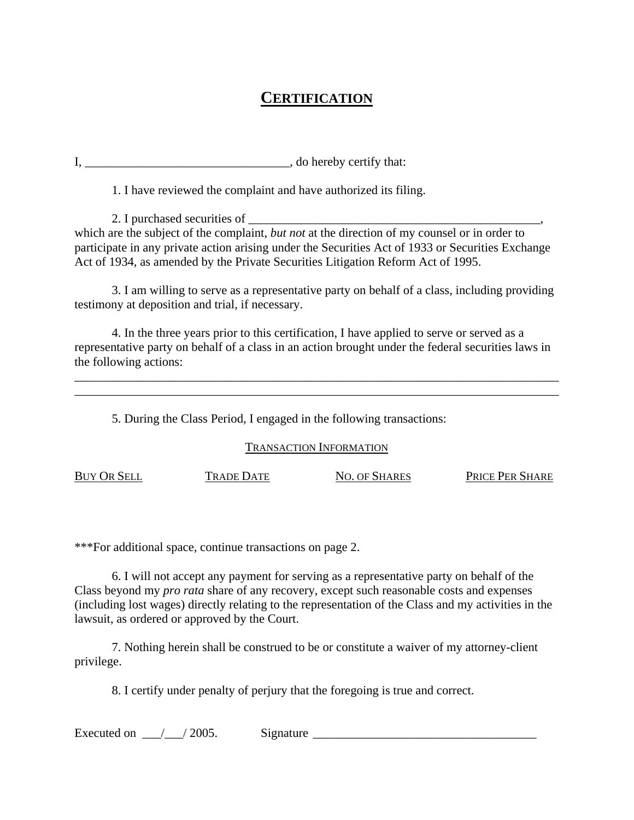## **CERTIFICATION**

I, and the local contract of the set of the set of the set of the set of the set of the set of the set of the set of the set of the set of the set of the set of the set of the set of the set of the set of the set of the se

1. I have reviewed the complaint and have authorized its filing.

2. I purchased securities of which are the subject of the complaint, *but not* at the direction of my counsel or in order to participate in any private action arising under the Securities Act of 1933 or Securities Exchange Act of 1934, as amended by the Private Securities Litigation Reform Act of 1995.

 3. I am willing to serve as a representative party on behalf of a class, including providing testimony at deposition and trial, if necessary.

 4. In the three years prior to this certification, I have applied to serve or served as a representative party on behalf of a class in an action brought under the federal securities laws in the following actions:

\_\_\_\_\_\_\_\_\_\_\_\_\_\_\_\_\_\_\_\_\_\_\_\_\_\_\_\_\_\_\_\_\_\_\_\_\_\_\_\_\_\_\_\_\_\_\_\_\_\_\_\_\_\_\_\_\_\_\_\_\_\_\_\_\_\_\_\_\_\_\_\_\_\_\_\_\_\_ \_\_\_\_\_\_\_\_\_\_\_\_\_\_\_\_\_\_\_\_\_\_\_\_\_\_\_\_\_\_\_\_\_\_\_\_\_\_\_\_\_\_\_\_\_\_\_\_\_\_\_\_\_\_\_\_\_\_\_\_\_\_\_\_\_\_\_\_\_\_\_\_\_\_\_\_\_\_

5. During the Class Period, I engaged in the following transactions:

## TRANSACTION INFORMATION

BUY OR SELL TRADE DATE NO. OF SHARES PRICE PER SHARE

\*\*\*For additional space, continue transactions on page 2.

 6. I will not accept any payment for serving as a representative party on behalf of the Class beyond my *pro rata* share of any recovery, except such reasonable costs and expenses (including lost wages) directly relating to the representation of the Class and my activities in the lawsuit, as ordered or approved by the Court.

 7. Nothing herein shall be construed to be or constitute a waiver of my attorney-client privilege.

8. I certify under penalty of perjury that the foregoing is true and correct.

Executed on  $\angle$  / 2005. Signature  $\angle$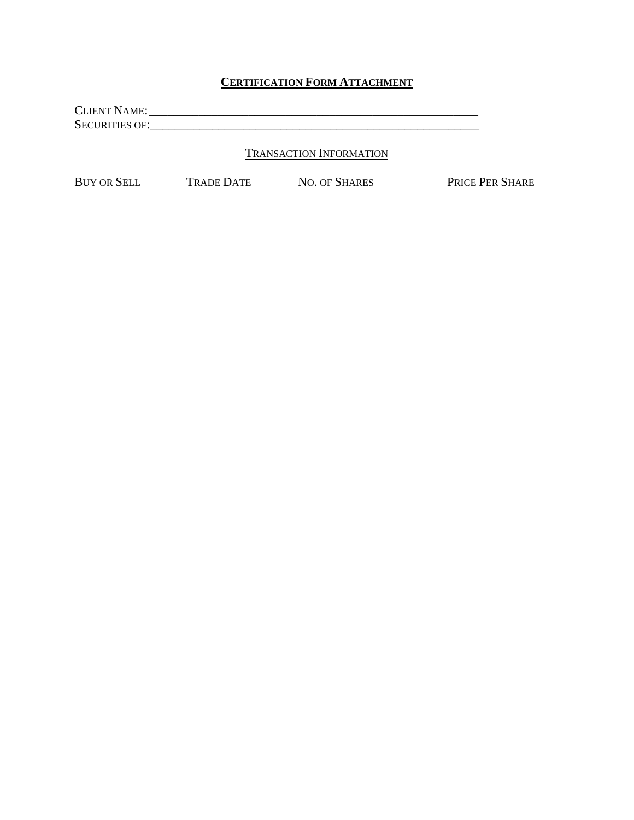## **CERTIFICATION FORM ATTACHMENT**

CLIENT NAME: \_\_\_\_\_\_\_\_\_\_\_\_\_\_\_\_\_\_\_\_\_\_\_\_\_\_\_\_\_\_\_\_\_\_\_\_\_\_\_\_\_\_\_\_\_\_\_\_\_\_\_\_\_ SECURITIES OF:\_\_\_\_\_\_\_\_\_\_\_\_\_\_\_\_\_\_\_\_\_\_\_\_\_\_\_\_\_\_\_\_\_\_\_\_\_\_\_\_\_\_\_\_\_\_\_\_\_\_\_\_\_

TRANSACTION INFORMATION

BUY OR SELL TRADE DATE NO. OF SHARES PRICE PER SHARE